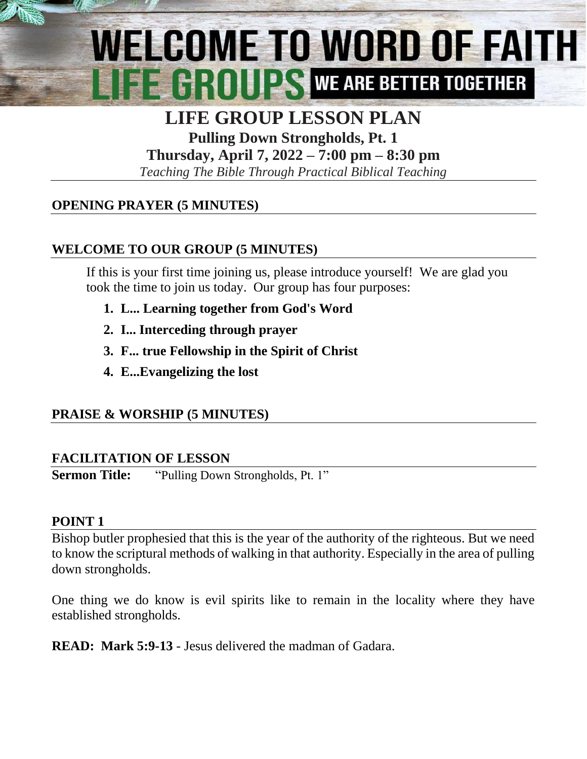# WELCOME TO WORD OF FAITH **EXAMPLE AND RESERVE ARE BETTER TOGETHER**

# **LIFE GROUP LESSON PLAN**

**Pulling Down Strongholds, Pt. 1 Thursday, April 7, 2022 – 7:00 pm – 8:30 pm**

*Teaching The Bible Through Practical Biblical Teaching*

### **OPENING PRAYER (5 MINUTES)**

### **WELCOME TO OUR GROUP (5 MINUTES)**

If this is your first time joining us, please introduce yourself! We are glad you took the time to join us today. Our group has four purposes:

- **1. L... Learning together from God's Word**
- **2. I... Interceding through prayer**
- **3. F... true Fellowship in the Spirit of Christ**
- **4. E..[.Evangelizing](http://www.christianwitnessingtools.com/) the lost**

#### **PRAISE & WORSHIP (5 MINUTES)**

#### **FACILITATION OF LESSON**

**Sermon Title:** "Pulling Down Strongholds, Pt. 1"

#### **POINT 1**

Bishop butler prophesied that this is the year of the authority of the righteous. But we need to know the scriptural methods of walking in that authority. Especially in the area of pulling down strongholds.

One thing we do know is evil spirits like to remain in the locality where they have established strongholds.

**READ: Mark 5:9-13** - Jesus delivered the madman of Gadara.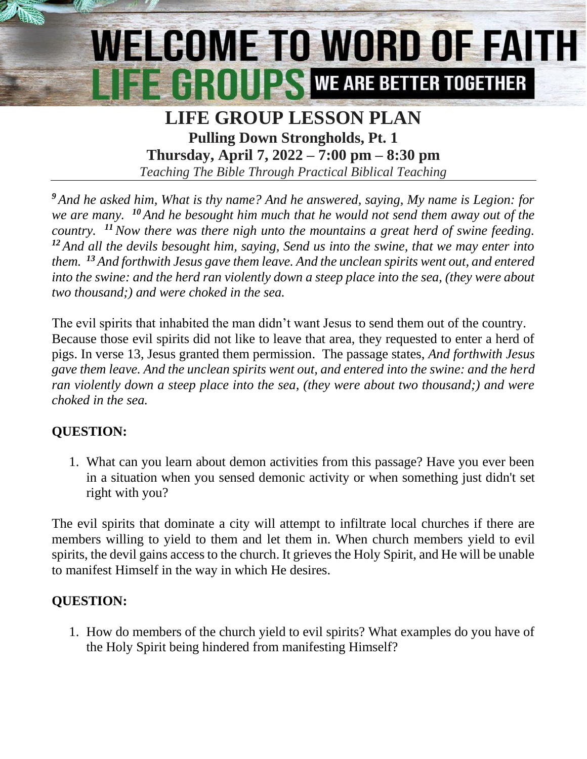# WELCOME TO WORD OF FAITH **EEGROUPS WE ARE BETTER TOGETHER**

# **LIFE GROUP LESSON PLAN Pulling Down Strongholds, Pt. 1 Thursday, April 7, 2022 – 7:00 pm – 8:30 pm**

*Teaching The Bible Through Practical Biblical Teaching*

*<sup>9</sup> And he asked him, What is thy name? And he answered, saying, My name is Legion: for we are many. <sup>10</sup> And he besought him much that he would not send them away out of the country. <sup>11</sup>Now there was there nigh unto the mountains a great herd of swine feeding. <sup>12</sup> And all the devils besought him, saying, Send us into the swine, that we may enter into them. <sup>13</sup> And forthwith Jesus gave them leave. And the unclean spirits went out, and entered into the swine: and the herd ran violently down a steep place into the sea, (they were about two thousand;) and were choked in the sea.*

The evil spirits that inhabited the man didn't want Jesus to send them out of the country. Because those evil spirits did not like to leave that area, they requested to enter a herd of pigs. In verse 13, Jesus granted them permission. The passage states, *And forthwith Jesus gave them leave. And the unclean spirits went out, and entered into the swine: and the herd ran violently down a steep place into the sea, (they were about two thousand;) and were choked in the sea.*

# **QUESTION:**

1. What can you learn about demon activities from this passage? Have you ever been in a situation when you sensed demonic activity or when something just didn't set right with you?

The evil spirits that dominate a city will attempt to infiltrate local churches if there are members willing to yield to them and let them in. When church members yield to evil spirits, the devil gains access to the church. It grieves the Holy Spirit, and He will be unable to manifest Himself in the way in which He desires.

#### **QUESTION:**

1. How do members of the church yield to evil spirits? What examples do you have of the Holy Spirit being hindered from manifesting Himself?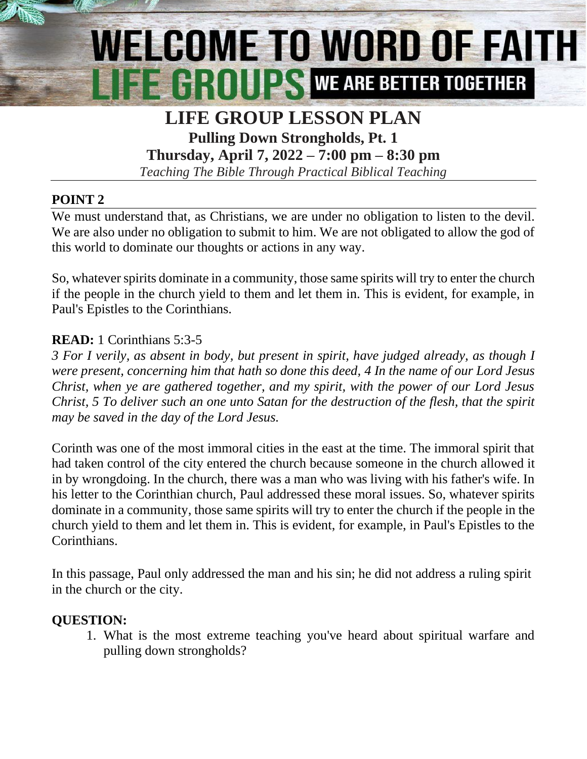# WELCOME TO WORD OF FAITH **FE GROUPS WE ARE BETTER TOGETHER**

## **LIFE GROUP LESSON PLAN Pulling Down Strongholds, Pt. 1**

**Thursday, April 7, 2022 – 7:00 pm – 8:30 pm**

*Teaching The Bible Through Practical Biblical Teaching*

#### **POINT 2**

We must understand that, as Christians, we are under no obligation to listen to the devil. We are also under no obligation to submit to him. We are not obligated to allow the god of this world to dominate our thoughts or actions in any way.

So, whatever spirits dominate in a community, those same spirits will try to enter the church if the people in the church yield to them and let them in. This is evident, for example, in Paul's Epistles to the Corinthians.

#### **READ:** 1 Corinthians 5:3-5

*3 For I verily, as absent in body, but present in spirit, have judged already, as though I were present, concerning him that hath so done this deed, 4 In the name of our Lord Jesus Christ, when ye are gathered together, and my spirit, with the power of our Lord Jesus Christ, 5 To deliver such an one unto Satan for the destruction of the flesh, that the spirit may be saved in the day of the Lord Jesus.*

Corinth was one of the most immoral cities in the east at the time. The immoral spirit that had taken control of the city entered the church because someone in the church allowed it in by wrongdoing. In the church, there was a man who was living with his father's wife. In his letter to the Corinthian church, Paul addressed these moral issues. So, whatever spirits dominate in a community, those same spirits will try to enter the church if the people in the church yield to them and let them in. This is evident, for example, in Paul's Epistles to the Corinthians.

In this passage, Paul only addressed the man and his sin; he did not address a ruling spirit in the church or the city.

#### **QUESTION:**

1. What is the most extreme teaching you've heard about spiritual warfare and pulling down strongholds?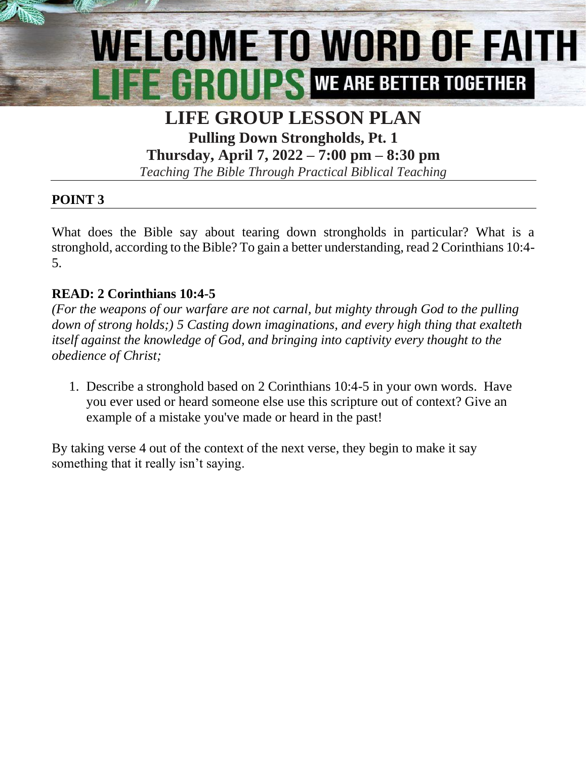# WELCOME TO WORD OF FAITH

## **LIFE GROUP LESSON PLAN Pulling Down Strongholds, Pt. 1**

**Thursday, April 7, 2022 – 7:00 pm – 8:30 pm**

*Teaching The Bible Through Practical Biblical Teaching*

### **POINT 3**

What does the Bible say about tearing down strongholds in particular? What is a stronghold, according to the Bible? To gain a better understanding, read 2 Corinthians 10:4- 5.

#### **READ: 2 Corinthians 10:4-5**

*(For the weapons of our warfare are not carnal, but mighty through God to the pulling down of strong holds;) 5 Casting down imaginations, and every high thing that exalteth itself against the knowledge of God, and bringing into captivity every thought to the obedience of Christ;*

1. Describe a stronghold based on 2 Corinthians 10:4-5 in your own words. Have you ever used or heard someone else use this scripture out of context? Give an example of a mistake you've made or heard in the past!

By taking verse 4 out of the context of the next verse, they begin to make it say something that it really isn't saying.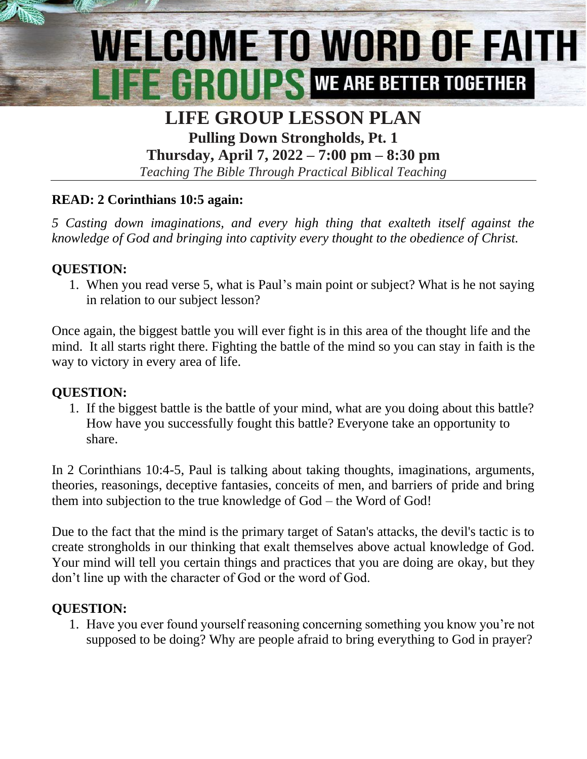# WELCOME TO WORD OF FAITH **FE GROUPS WE ARE BETTER TOGETHER**

### **LIFE GROUP LESSON PLAN Pulling Down Strongholds, Pt. 1**

**Thursday, April 7, 2022 – 7:00 pm – 8:30 pm**

*Teaching The Bible Through Practical Biblical Teaching*

#### **READ: 2 Corinthians 10:5 again:**

*5 Casting down imaginations, and every high thing that exalteth itself against the knowledge of God and bringing into captivity every thought to the obedience of Christ.*

#### **QUESTION:**

1. When you read verse 5, what is Paul's main point or subject? What is he not saying in relation to our subject lesson?

Once again, the biggest battle you will ever fight is in this area of the thought life and the mind. It all starts right there. Fighting the battle of the mind so you can stay in faith is the way to victory in every area of life.

#### **QUESTION:**

1. If the biggest battle is the battle of your mind, what are you doing about this battle? How have you successfully fought this battle? Everyone take an opportunity to share.

In 2 Corinthians 10:4-5, Paul is talking about taking thoughts, imaginations, arguments, theories, reasonings, deceptive fantasies, conceits of men, and barriers of pride and bring them into subjection to the true knowledge of God – the Word of God!

Due to the fact that the mind is the primary target of Satan's attacks, the devil's tactic is to create strongholds in our thinking that exalt themselves above actual knowledge of God. Your mind will tell you certain things and practices that you are doing are okay, but they don't line up with the character of God or the word of God.

#### **QUESTION:**

1. Have you ever found yourself reasoning concerning something you know you're not supposed to be doing? Why are people afraid to bring everything to God in prayer?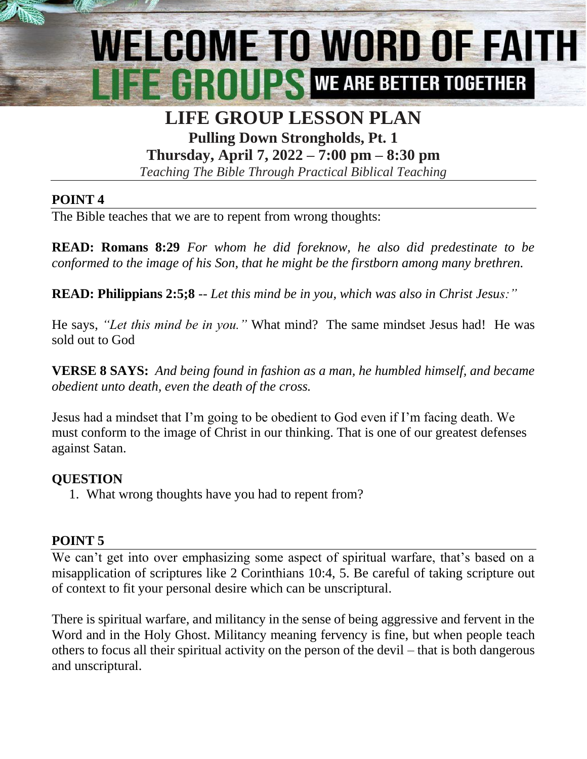# WELCOME TO WORD OF FAITH **EL GROUPS WE ARE BETTER TOGETHER**

### **LIFE GROUP LESSON PLAN Pulling Down Strongholds, Pt. 1**

**Thursday, April 7, 2022 – 7:00 pm – 8:30 pm**

*Teaching The Bible Through Practical Biblical Teaching*

#### **POINT 4**

The Bible teaches that we are to repent from wrong thoughts:

**READ: Romans 8:29** *For whom he did foreknow, he also did predestinate to be conformed to the image of his Son, that he might be the firstborn among many brethren.*

**READ: Philippians 2:5;8** -- *Let this mind be in you, which was also in Christ Jesus:"*

He says, *"Let this mind be in you."* What mind? The same mindset Jesus had! He was sold out to God

**VERSE 8 SAYS:** *And being found in fashion as a man, he humbled himself, and became obedient unto death, even the death of the cross.*

Jesus had a mindset that I'm going to be obedient to God even if I'm facing death. We must conform to the image of Christ in our thinking. That is one of our greatest defenses against Satan.

#### **QUESTION**

1. What wrong thoughts have you had to repent from?

#### **POINT 5**

We can't get into over emphasizing some aspect of spiritual warfare, that's based on a misapplication of scriptures like 2 Corinthians 10:4, 5. Be careful of taking scripture out of context to fit your personal desire which can be unscriptural.

There is spiritual warfare, and militancy in the sense of being aggressive and fervent in the Word and in the Holy Ghost. Militancy meaning fervency is fine, but when people teach others to focus all their spiritual activity on the person of the devil – that is both dangerous and unscriptural.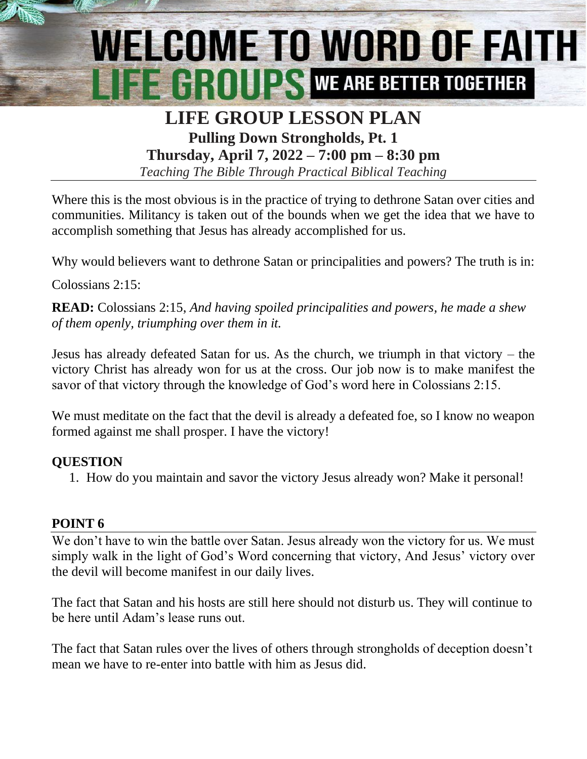# WELCOME TO WORD OF FAITH **EE CROUPS WE ARE BETTER TOGETHER**

# **LIFE GROUP LESSON PLAN Pulling Down Strongholds, Pt. 1**

**Thursday, April 7, 2022 – 7:00 pm – 8:30 pm**

*Teaching The Bible Through Practical Biblical Teaching*

Where this is the most obvious is in the practice of trying to dethrone Satan over cities and communities. Militancy is taken out of the bounds when we get the idea that we have to accomplish something that Jesus has already accomplished for us.

Why would believers want to dethrone Satan or principalities and powers? The truth is in:

Colossians 2:15:

**READ:** Colossians 2:15, *And having spoiled principalities and powers, he made a shew of them openly, triumphing over them in it.*

Jesus has already defeated Satan for us. As the church, we triumph in that victory – the victory Christ has already won for us at the cross. Our job now is to make manifest the savor of that victory through the knowledge of God's word here in Colossians 2:15.

We must meditate on the fact that the devil is already a defeated foe, so I know no weapon formed against me shall prosper. I have the victory!

#### **QUESTION**

1. How do you maintain and savor the victory Jesus already won? Make it personal!

#### **POINT 6**

We don't have to win the battle over Satan. Jesus already won the victory for us. We must simply walk in the light of God's Word concerning that victory, And Jesus' victory over the devil will become manifest in our daily lives.

The fact that Satan and his hosts are still here should not disturb us. They will continue to be here until Adam's lease runs out.

The fact that Satan rules over the lives of others through strongholds of deception doesn't mean we have to re-enter into battle with him as Jesus did.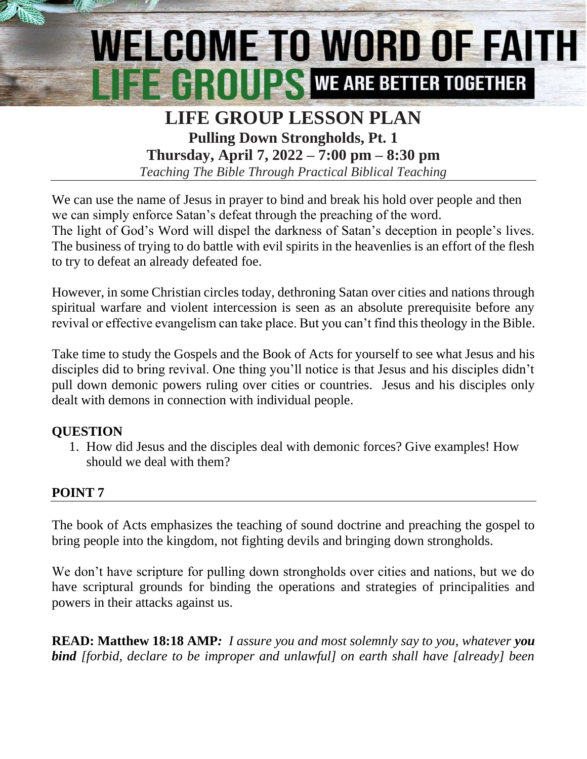# WELCOME TO WORD OF FAITH **EE GROUPS WE ARE BETTER TOGETHER**

# **LIFE GROUP LESSON PLAN Pulling Down Strongholds, Pt. 1**

**Thursday, April 7, 2022 – 7:00 pm – 8:30 pm**

*Teaching The Bible Through Practical Biblical Teaching*

We can use the name of Jesus in prayer to bind and break his hold over people and then we can simply enforce Satan's defeat through the preaching of the word. The light of God's Word will dispel the darkness of Satan's deception in people's lives. The business of trying to do battle with evil spirits in the heavenlies is an effort of the flesh to try to defeat an already defeated foe.

However, in some Christian circles today, dethroning Satan over cities and nations through spiritual warfare and violent intercession is seen as an absolute prerequisite before any revival or effective evangelism can take place. But you can't find this theology in the Bible.

Take time to study the Gospels and the Book of Acts for yourself to see what Jesus and his disciples did to bring revival. One thing you'll notice is that Jesus and his disciples didn't pull down demonic powers ruling over cities or countries. Jesus and his disciples only dealt with demons in connection with individual people.

#### **QUESTION**

1. How did Jesus and the disciples deal with demonic forces? Give examples! How should we deal with them?

# **POINT 7**

The book of Acts emphasizes the teaching of sound doctrine and preaching the gospel to bring people into the kingdom, not fighting devils and bringing down strongholds.

We don't have scripture for pulling down strongholds over cities and nations, but we do have scriptural grounds for binding the operations and strategies of principalities and powers in their attacks against us.

**READ: Matthew 18:18 AMP***: I assure you and most solemnly say to you, whatever you bind [forbid, declare to be improper and unlawful] on earth shall have [already] been*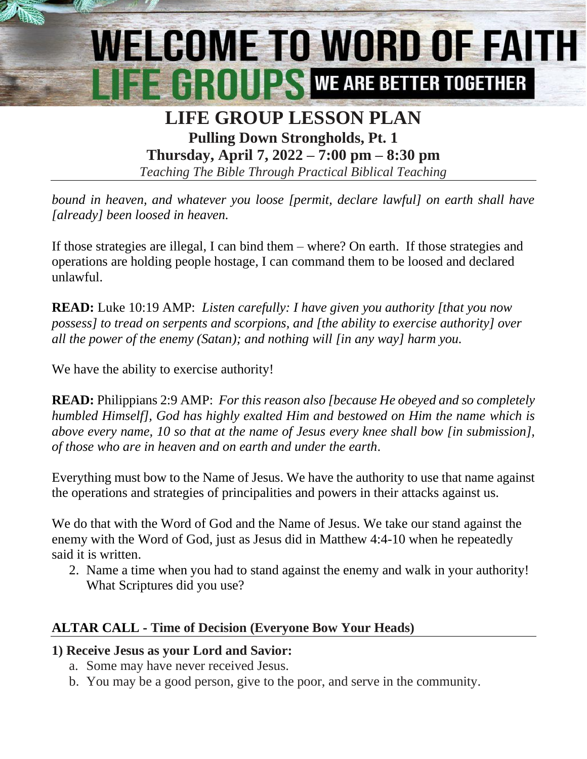# WELCOME TO WORD OF FAITH **EXAMPLE WE ARE BETTER TOGETHER**

### **LIFE GROUP LESSON PLAN Pulling Down Strongholds, Pt. 1**

**Thursday, April 7, 2022 – 7:00 pm – 8:30 pm** *Teaching The Bible Through Practical Biblical Teaching*

*bound in heaven, and whatever you loose [permit, declare lawful] on earth shall have [already] been loosed in heaven.*

If those strategies are illegal, I can bind them – where? On earth. If those strategies and operations are holding people hostage, I can command them to be loosed and declared unlawful.

**READ:** Luke 10:19 AMP:*Listen carefully: I have given you authority [that you now possess] to tread on serpents and scorpions, and [the ability to exercise authority] over all the power of the enemy (Satan); and nothing will [in any way] harm you.*

We have the ability to exercise authority!

**READ:** Philippians 2:9 AMP: *For this reason also [because He obeyed and so completely humbled Himself], God has highly exalted Him and bestowed on Him the name which is above every name, 10 so that at the name of Jesus every knee shall bow [in submission], of those who are in heaven and on earth and under the earth.*

Everything must bow to the Name of Jesus. We have the authority to use that name against the operations and strategies of principalities and powers in their attacks against us.

We do that with the Word of God and the Name of Jesus. We take our stand against the enemy with the Word of God, just as Jesus did in Matthew 4:4-10 when he repeatedly said it is written.

2. Name a time when you had to stand against the enemy and walk in your authority! What Scriptures did you use?

#### **ALTAR CALL - Time of Decision (Everyone Bow Your Heads)**

#### **1) Receive Jesus as your Lord and Savior:**

- a. Some may have never received Jesus.
- b. You may be a good person, give to the poor, and serve in the community.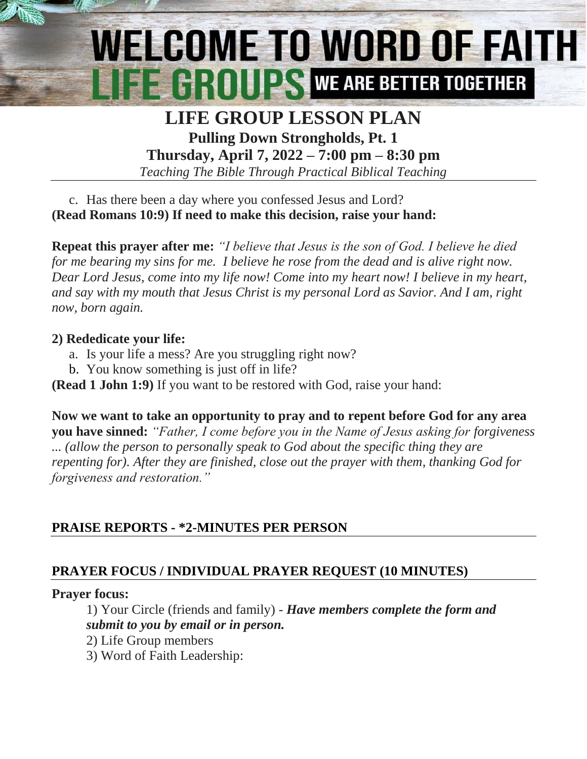# WELCOME TO WORD OF FAITH **EXAMPLE AND REARE BETTER TOGETHER**

# **LIFE GROUP LESSON PLAN Pulling Down Strongholds, Pt. 1**

**Thursday, April 7, 2022 – 7:00 pm – 8:30 pm** *Teaching The Bible Through Practical Biblical Teaching*

c. Has there been a day where you confessed Jesus and Lord? **(Read Romans 10:9) If need to make this decision, raise your hand:**

**Repeat this prayer after me:** *"I believe that Jesus is the son of God. I believe he died for me bearing my sins for me. I believe he rose from the dead and is alive right now. Dear Lord Jesus, come into my life now! Come into my heart now! I believe in my heart, and say with my mouth that Jesus Christ is my personal Lord as Savior. And I am, right now, born again.*

#### **2) Rededicate your life:**

- a. Is your life a mess? Are you struggling right now?
- b. You know something is just off in life?
- **(Read 1 John 1:9)** If you want to be restored with God, raise your hand:

**Now we want to take an opportunity to pray and to repent before God for any area you have sinned:** *"Father, I come before you in the Name of Jesus asking for forgiveness ... (allow the person to personally speak to God about the specific thing they are repenting for). After they are finished, close out the prayer with them, thanking God for forgiveness and restoration."*

# **PRAISE REPORTS - \*2-MINUTES PER PERSON**

# **PRAYER FOCUS / INDIVIDUAL PRAYER REQUEST (10 MINUTES)**

# **Prayer focus:**

1) Your Circle (friends and family) - *Have members complete the form and submit to you by email or in person.*

- 2) Life Group members
- 3) Word of Faith Leadership: